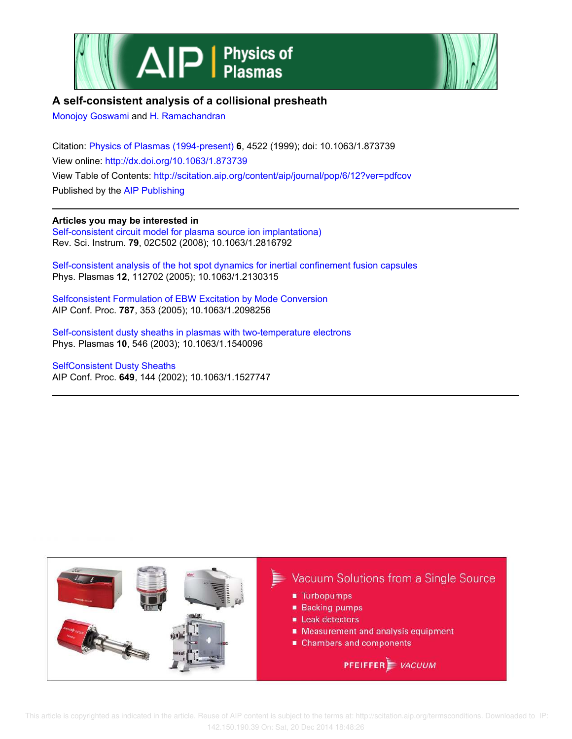



# **A self-consistent analysis of a collisional presheath**

Monojoy Goswami and H. Ramachandran

Citation: Physics of Plasmas (1994-present) **6**, 4522 (1999); doi: 10.1063/1.873739 View online: http://dx.doi.org/10.1063/1.873739 View Table of Contents: http://scitation.aip.org/content/aip/journal/pop/6/12?ver=pdfcov Published by the AIP Publishing

**Articles you may be interested in**

Self-consistent circuit model for plasma source ion implantationa) Rev. Sci. Instrum. **79**, 02C502 (2008); 10.1063/1.2816792

Self-consistent analysis of the hot spot dynamics for inertial confinement fusion capsules Phys. Plasmas **12**, 112702 (2005); 10.1063/1.2130315

Selfconsistent Formulation of EBW Excitation by Mode Conversion AIP Conf. Proc. **787**, 353 (2005); 10.1063/1.2098256

Self-consistent dusty sheaths in plasmas with two-temperature electrons Phys. Plasmas **10**, 546 (2003); 10.1063/1.1540096

SelfConsistent Dusty Sheaths AIP Conf. Proc. **649**, 144 (2002); 10.1063/1.1527747

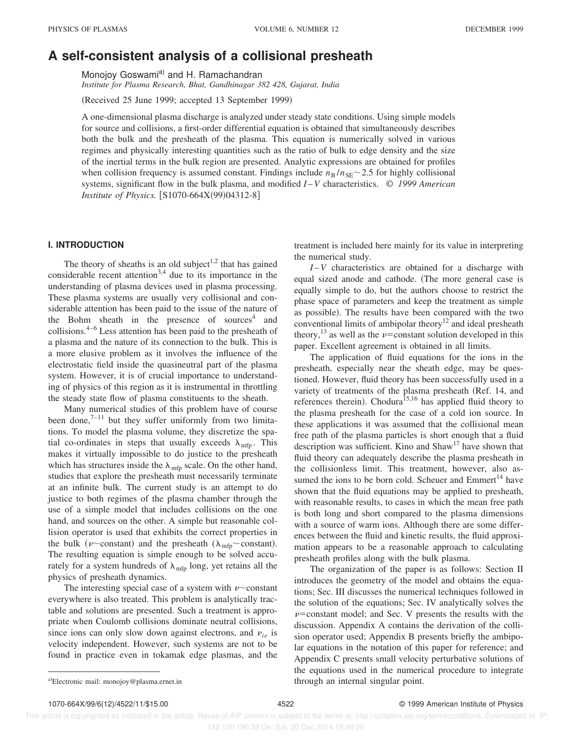# **A self-consistent analysis of a collisional presheath**

Monojoy Goswami<sup>a)</sup> and H. Ramachandran

*Institute for Plasma Research, Bhat, Gandhinagar 382 428, Gujarat, India*

(Received 25 June 1999; accepted 13 September 1999)

A one-dimensional plasma discharge is analyzed under steady state conditions. Using simple models for source and collisions, a first-order differential equation is obtained that simultaneously describes both the bulk and the presheath of the plasma. This equation is numerically solved in various regimes and physically interesting quantities such as the ratio of bulk to edge density and the size of the inertial terms in the bulk region are presented. Analytic expressions are obtained for profiles when collision frequency is assumed constant. Findings include  $n_B / n_{SE} \sim 2.5$  for highly collisional systems, significant flow in the bulk plasma, and modified *I* –*V* characteristics. © *1999 American Institute of Physics.* [S1070-664X(99)04312-8]

## **I. INTRODUCTION**

The theory of sheaths is an old subject<sup>1,2</sup> that has gained considerable recent attention<sup>3,4</sup> due to its importance in the understanding of plasma devices used in plasma processing. These plasma systems are usually very collisional and considerable attention has been paid to the issue of the nature of the Bohm sheath in the presence of sources<sup>4</sup> and collisions.4–6 Less attention has been paid to the presheath of a plasma and the nature of its connection to the bulk. This is a more elusive problem as it involves the influence of the electrostatic field inside the quasineutral part of the plasma system. However, it is of crucial importance to understanding of physics of this region as it is instrumental in throttling the steady state flow of plasma constituents to the sheath.

Many numerical studies of this problem have of course been done, $7-11$  but they suffer uniformly from two limitations. To model the plasma volume, they discretize the spatial co-ordinates in steps that usually exceeds  $\lambda_{\text{mfp}}$ . This makes it virtually impossible to do justice to the presheath which has structures inside the  $\lambda_{\text{mfp}}$  scale. On the other hand, studies that explore the presheath must necessarily terminate at an infinite bulk. The current study is an attempt to do justice to both regimes of the plasma chamber through the use of a simple model that includes collisions on the one hand, and sources on the other. A simple but reasonable collision operator is used that exhibits the correct properties in the bulk ( $\nu$ ~constant) and the presheath ( $\lambda_{\text{mfp}}$ ~constant). The resulting equation is simple enough to be solved accurately for a system hundreds of  $\lambda_{\text{mfp}}$  long, yet retains all the physics of presheath dynamics.

The interesting special case of a system with  $\nu$  constant everywhere is also treated. This problem is analytically tractable and solutions are presented. Such a treatment is appropriate when Coulomb collisions dominate neutral collisions, since ions can only slow down against electrons, and  $v_{i}$  is velocity independent. However, such systems are not to be found in practice even in tokamak edge plasmas, and the treatment is included here mainly for its value in interpreting the numerical study.

*I* –*V* characteristics are obtained for a discharge with equal sized anode and cathode. (The more general case is equally simple to do, but the authors choose to restrict the phase space of parameters and keep the treatment as simple as possible). The results have been compared with the two conventional limits of ambipolar theory<sup>12</sup> and ideal presheath theory,<sup>13</sup> as well as the  $\nu$ =constant solution developed in this paper. Excellent agreement is obtained in all limits.

The application of fluid equations for the ions in the presheath, especially near the sheath edge, may be questioned. However, fluid theory has been successfully used in a variety of treatments of the plasma presheath (Ref. 14, and references therein). Chodura<sup>15,16</sup> has applied fluid theory to the plasma presheath for the case of a cold ion source. In these applications it was assumed that the collisional mean free path of the plasma particles is short enough that a fluid description was sufficient. Kino and Shaw<sup>17</sup> have shown that fluid theory can adequately describe the plasma presheath in the collisionless limit. This treatment, however, also assumed the ions to be born cold. Scheuer and  $Emmert$ <sup>14</sup> have shown that the fluid equations may be applied to presheath, with reasonable results, to cases in which the mean free path is both long and short compared to the plasma dimensions with a source of warm ions. Although there are some differences between the fluid and kinetic results, the fluid approximation appears to be a reasonable approach to calculating presheath profiles along with the bulk plasma.

The organization of the paper is as follows: Section II introduces the geometry of the model and obtains the equations; Sec. III discusses the numerical techniques followed in the solution of the equations; Sec. IV analytically solves the  $\nu$ =constant model; and Sec. V presents the results with the discussion. Appendix A contains the derivation of the collision operator used; Appendix B presents briefly the ambipolar equations in the notation of this paper for reference; and Appendix C presents small velocity perturbative solutions of the equations used in the numerical procedure to integrate a)Electronic mail: monojoy@plasma.ernet.in through an internal singular point.

1070-664X/99/6(12)/4522/11/\$15.00 4522 © 1999 American Institute of Physics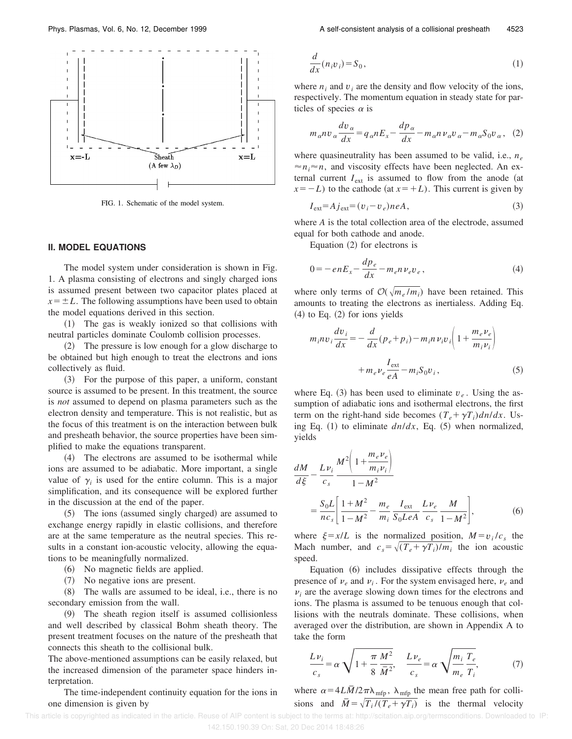

FIG. 1. Schematic of the model system.

## **II. MODEL EQUATIONS**

The model system under consideration is shown in Fig. 1. A plasma consisting of electrons and singly charged ions is assumed present between two capacitor plates placed at  $x = \pm L$ . The following assumptions have been used to obtain the model equations derived in this section.

~1! The gas is weakly ionized so that collisions with neutral particles dominate Coulomb collision processes.

(2) The pressure is low enough for a glow discharge to be obtained but high enough to treat the electrons and ions collectively as fluid.

~3! For the purpose of this paper, a uniform, constant source is assumed to be present. In this treatment, the source is *not* assumed to depend on plasma parameters such as the electron density and temperature. This is not realistic, but as the focus of this treatment is on the interaction between bulk and presheath behavior, the source properties have been simplified to make the equations transparent.

(4) The electrons are assumed to be isothermal while ions are assumed to be adiabatic. More important, a single value of  $\gamma$ <sup>*i*</sup> is used for the entire column. This is a major simplification, and its consequence will be explored further in the discussion at the end of the paper.

 $(5)$  The ions (assumed singly charged) are assumed to exchange energy rapidly in elastic collisions, and therefore are at the same temperature as the neutral species. This results in a constant ion-acoustic velocity, allowing the equations to be meaningfully normalized.

~6! No magnetic fields are applied.

~7! No negative ions are present.

 $(8)$  The walls are assumed to be ideal, i.e., there is no secondary emission from the wall.

~9! The sheath region itself is assumed collisionless and well described by classical Bohm sheath theory. The present treatment focuses on the nature of the presheath that connects this sheath to the collisional bulk.

The above-mentioned assumptions can be easily relaxed, but the increased dimension of the parameter space hinders interpretation.

The time-independent continuity equation for the ions in one dimension is given by

$$
\frac{d}{dx}(n_i v_i) = S_0,\tag{1}
$$

where  $n_i$  and  $v_i$  are the density and flow velocity of the ions, respectively. The momentum equation in steady state for particles of species  $\alpha$  is

$$
m_{\alpha}nv_{\alpha}\frac{dv_{\alpha}}{dx} = q_{\alpha}nE_x - \frac{dp_{\alpha}}{dx} - m_{\alpha}nv_{\alpha}v_{\alpha} - m_{\alpha}S_0v_{\alpha}, \quad (2)
$$

where quasineutrality has been assumed to be valid, i.e., *n<sup>e</sup>*  $\approx n_i \approx n$ , and viscosity effects have been neglected. An external current  $I_{ext}$  is assumed to flow from the anode (at  $x=-L$ ) to the cathode (at  $x=+L$ ). This current is given by

$$
I_{\text{ext}} = A j_{\text{ext}} = (v_i - v_e) n e A,\tag{3}
$$

where *A* is the total collection area of the electrode, assumed equal for both cathode and anode.

Equation  $(2)$  for electrons is

$$
0 = -enE_x - \frac{dp_e}{dx} - m_e n v_e v_e, \tag{4}
$$

where only terms of  $\mathcal{O}(\sqrt{m_e/m_i})$  have been retained. This amounts to treating the electrons as inertialess. Adding Eq.  $(4)$  to Eq.  $(2)$  for ions yields

$$
m_i n v_i \frac{dv_i}{dx} = -\frac{d}{dx} (p_e + p_i) - m_i n v_i v_i \left( 1 + \frac{m_e v_e}{m_i v_i} \right)
$$

$$
+ m_e v_e \frac{I_{\text{ext}}}{eA} - m_i S_0 v_i, \qquad (5)
$$

where Eq. (3) has been used to eliminate  $v_e$ . Using the assumption of adiabatic ions and isothermal electrons, the first term on the right-hand side becomes  $(T_e + \gamma T_i) \frac{dn}{dx}$ . Using Eq.  $(1)$  to eliminate  $dn/dx$ , Eq.  $(5)$  when normalized, yields

$$
\frac{dM}{d\xi} - \frac{L v_i}{c_s} \frac{M^2 \left(1 + \frac{m_e v_e}{m_i v_i}\right)}{1 - M^2} \n= \frac{S_0 L}{n c_s} \left[ \frac{1 + M^2}{1 - M^2} - \frac{m_e}{m_i} \frac{I_{\text{ext}}}{S_0 L e A} \frac{L v_e}{c_s} \frac{M}{1 - M^2} \right],
$$
\n(6)

where  $\xi = x/L$  is the normalized position,  $M = v_i/c_s$  the Mach number, and  $c_s = \sqrt{(T_e + \gamma T_i)/m_i}$  the ion acoustic speed.

Equation  $(6)$  includes dissipative effects through the presence of  $v_e$  and  $v_i$ . For the system envisaged here,  $v_e$  and  $\nu_i$  are the average slowing down times for the electrons and ions. The plasma is assumed to be tenuous enough that collisions with the neutrals dominate. These collisions, when averaged over the distribution, are shown in Appendix A to take the form

$$
\frac{L\nu_i}{c_s} = \alpha \sqrt{1 + \frac{\pi}{8} \frac{M^2}{\bar{M}^2}}, \quad \frac{L\nu_e}{c_s} = \alpha \sqrt{\frac{m_i}{m_e} \frac{T_e}{T_i}},\tag{7}
$$

where  $\alpha = 4L\bar{M}/2\pi\lambda_{\text{mfp}}$ ,  $\lambda_{\text{mfp}}$  the mean free path for collisions and  $\overline{M} = \sqrt{T_i/(T_e + \gamma T_i)}$  is the thermal velocity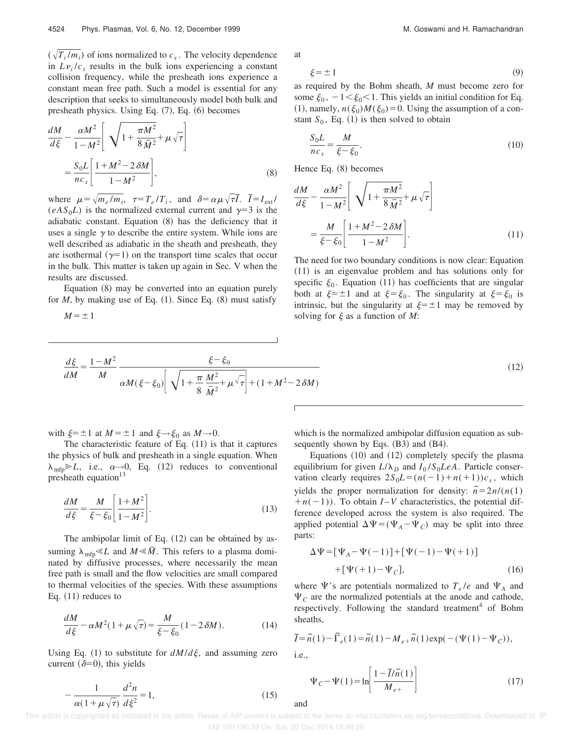$(\sqrt{T_i/m_i})$  of ions normalized to  $c_s$ . The velocity dependence in  $Lv_i/c_s$  results in the bulk ions experiencing a constant collision frequency, while the presheath ions experience a constant mean free path. Such a model is essential for any description that seeks to simultaneously model both bulk and presheath physics. Using Eq.  $(7)$ , Eq.  $(6)$  becomes

$$
\frac{dM}{d\xi} - \frac{\alpha M^2}{1 - M^2} \left[ \sqrt{1 + \frac{\pi M^2}{8 \bar{M}^2}} + \mu \sqrt{\tau} \right]
$$

$$
= \frac{S_0 L}{n c_s} \left[ \frac{1 + M^2 - 2 \delta M}{1 - M^2} \right],
$$
(8)

where  $\mu = \sqrt{m_e/m_i}$ ,  $\tau = T_e/T_i$ , and  $\delta = \alpha \mu \sqrt{\tau T}$ .  $\tilde{I} = I_{ext}$  $(eAS_0L)$  is the normalized external current and  $\gamma=3$  is the adiabatic constant. Equation  $(8)$  has the deficiency that it uses a single  $\gamma$  to describe the entire system. While ions are well described as adiabatic in the sheath and presheath, they are isothermal  $(\gamma=1)$  on the transport time scales that occur in the bulk. This matter is taken up again in Sec. V when the results are discussed.

Equation  $(8)$  may be converted into an equation purely for  $M$ , by making use of Eq.  $(1)$ . Since Eq.  $(8)$  must satisfy

 $M=\pm1$ 

at

$$
\xi = \pm 1\tag{9}
$$

as required by the Bohm sheath, *M* must become zero for some  $\xi_0$ ,  $-1 < \xi_0 < 1$ . This yields an initial condition for Eq. (1), namely,  $n(\xi_0)M(\xi_0)=0$ . Using the assumption of a constant  $S_0$ , Eq. (1) is then solved to obtain

$$
\frac{S_0 L}{n c_s} = \frac{M}{\xi - \xi_0}.\tag{10}
$$

Hence Eq.  $(8)$  becomes

$$
\frac{dM}{d\xi} - \frac{\alpha M^2}{1 - M^2} \left[ \sqrt{1 + \frac{\pi M^2}{8 \bar{M}^2}} + \mu \sqrt{\tau} \right]
$$

$$
= \frac{M}{\xi - \xi_0} \left[ \frac{1 + M^2 - 2 \delta M}{1 - M^2} \right].
$$
(11)

The need for two boundary conditions is now clear: Equation  $(11)$  is an eigenvalue problem and has solutions only for specific  $\xi_0$ . Equation (11) has coefficients that are singular both at  $\xi = \pm 1$  and at  $\xi = \xi_0$ . The singularity at  $\xi = \xi_0$  is intrinsic, but the singularity at  $\xi=\pm 1$  may be removed by solving for  $\xi$  as a function of *M*:

$$
\frac{d\xi}{dM} = \frac{1 - M^2}{M} \frac{\xi - \xi_0}{\alpha M(\xi - \xi_0)} \left[ \sqrt{1 + \frac{\pi}{8} \frac{M^2}{\bar{M}^2} + \mu \sqrt{\tau}} \right] + (1 + M^2 - 2\delta M)
$$
\n(12)

with  $\xi = \pm 1$  at  $M = \pm 1$  and  $\xi \rightarrow \xi_0$  as  $M \rightarrow 0$ .

The characteristic feature of Eq.  $(11)$  is that it captures the physics of bulk and presheath in a single equation. When  $\lambda_{\text{mfp}} \ge L$ , i.e.,  $\alpha \rightarrow 0$ , Eq. (12) reduces to conventional presheath equation $13$ 

$$
\frac{dM}{d\xi} = \frac{M}{\xi - \xi_0} \left[ \frac{1 + M^2}{1 - M^2} \right].
$$
\n(13)

The ambipolar limit of Eq.  $(12)$  can be obtained by assuming  $\lambda_{\text{mfp}} \ll L$  and  $M \ll \overline{M}$ . This refers to a plasma dominated by diffusive processes, where necessarily the mean free path is small and the flow velocities are small compared to thermal velocities of the species. With these assumptions Eq.  $(11)$  reduces to

$$
\frac{dM}{d\xi} - \alpha M^2 (1 + \mu \sqrt{\tau}) = \frac{M}{\xi - \xi_0} (1 - 2\delta M). \tag{14}
$$

Using Eq. (1) to substitute for  $dM/d\xi$ , and assuming zero current ( $\delta=0$ ), this yields

$$
-\frac{1}{\alpha(1+\mu\sqrt{\tau})}\frac{d^2n}{d\xi^2} = 1,\tag{15}
$$

which is the normalized ambipolar diffusion equation as subsequently shown by Eqs. (B3) and (B4).

Equations  $(10)$  and  $(12)$  completely specify the plasma equilibrium for given  $L/\lambda_D$  and  $I_0/S_0LeA$ . Particle conservation clearly requires  $2S_0L = (n(-1)+n(+1))c_s$ , which yields the proper normalization for density:  $n=2n/(n(1))$  $+n(-1)$ ). To obtain *I* – *V* characteristics, the potential difference developed across the system is also required. The applied potential  $\Delta \Psi = (\Psi_A - \Psi_C)$  may be split into three parts:

$$
\Delta \Psi = [\Psi_A - \Psi(-1)] + [\Psi(-1) - \Psi(+1)]
$$
  
+ [\Psi(+1) - \Psi\_C], (16)

where  $\Psi$ 's are potentials normalized to  $T_e/e$  and  $\Psi_A$  and  $\Psi_c$  are the normalized potentials at the anode and cathode, respectively. Following the standard treatment<sup>4</sup> of Bohm sheaths,

$$
\widetilde{I} = \widetilde{n}(1) - \widetilde{\Gamma}_e(1) = \widetilde{n}(1) - M_{e+} \widetilde{n}(1) \exp(-(\Psi(1) - \Psi_C)),
$$
 i.e.,

$$
\Psi_C - \Psi(1) = \ln \left[ \frac{1 - \tilde{I}/\tilde{n}(1)}{M_{e+}} \right]
$$
\n(17)

 This article is copyrighted as indicated in the article. Reuse of AIP content is subject to the terms at: http://scitation.aip.org/termsconditions. Downloaded to IP: 142.150.190.39 On: Sat, 20 Dec 2014 18:48:26

and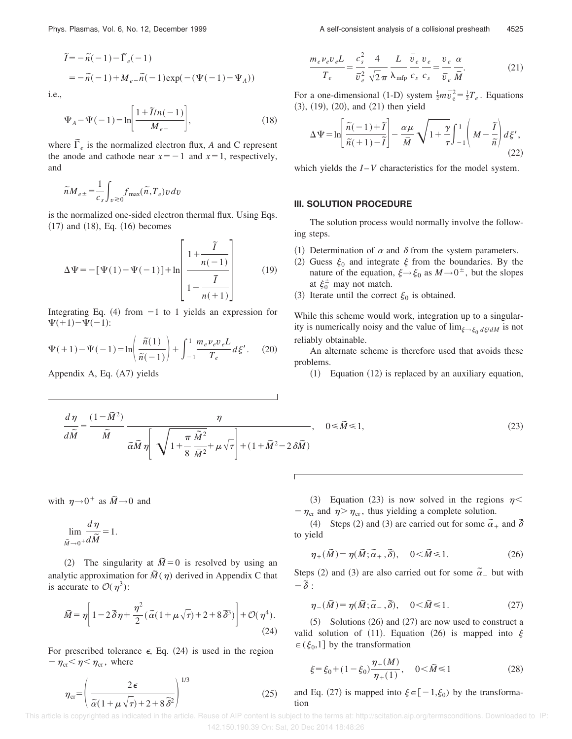$$
\widetilde{I} = -\widetilde{n}(-1) - \widetilde{\Gamma}_e(-1)
$$
  
=  $-\widetilde{n}(-1) + M_e - \widetilde{n}(-1)\exp(-(\Psi(-1) - \Psi_A))$ 

i.e.,

$$
\Psi_A - \Psi(-1) = \ln \left[ \frac{1 + \tilde{I}/n(-1)}{M_{e-}} \right],
$$
\n(18)

where  $\tilde{\Gamma}_e$  is the normalized electron flux, *A* and C represent the anode and cathode near  $x=-1$  and  $x=1$ , respectively, and

$$
\widetilde{n} M_{e\pm} \!=\! \frac{1}{c_s}\!\int_{v\,\gtrless\,0}\!\!f_{\rm max}\!\left(\widetilde{n},T_e\right)\!v\,dv
$$

is the normalized one-sided electron thermal flux. Using Eqs.  $(17)$  and  $(18)$ , Eq.  $(16)$  becomes

$$
\Delta \Psi = -\left[\Psi(1) - \Psi(-1)\right] + \ln\left[\frac{1 + \frac{\tilde{I}}{n(-1)}}{1 - \frac{\tilde{I}}{n(+1)}}\right] \tag{19}
$$

Integrating Eq.  $(4)$  from  $-1$  to 1 yields an expression for  $\Psi(+1) - \Psi(-1)$ :

$$
\Psi(+1) - \Psi(-1) = \ln\left(\frac{\tilde{n}(1)}{\tilde{n}(-1)}\right) + \int_{-1}^{1} \frac{m_e \nu_e v_e L}{T_e} d\xi'. \tag{20}
$$

Appendix A, Eq.  $(A7)$  yields

$$
\frac{m_e \nu_e v_e L}{T_e} = \frac{c_s^2}{\overline{v}_e^2} \frac{4}{\sqrt{2} \pi} \frac{L}{\lambda_{\rm mfp}} \frac{\overline{v}_e}{c_s} \frac{v_e}{c_s} = \frac{v_e}{\overline{v}_e} \frac{\alpha}{\overline{M}}.
$$
 (21)

For a one-dimensional (1-D) system  $\frac{1}{2}m\overrightarrow{v}_e^2 = \frac{1}{2}T_e$ . Equations  $(3)$ ,  $(19)$ ,  $(20)$ , and  $(21)$  then yield

$$
\Delta \Psi = \ln \left[ \frac{\tilde{n}(-1) + \tilde{I}}{\tilde{n}(\tau + 1) - \tilde{I}} \right] - \frac{\alpha \mu}{\bar{M}} \sqrt{1 + \frac{\gamma}{\tau}} \int_{-1}^{1} \left( M - \frac{\tilde{I}}{\tilde{n}} \right) d\xi', \tag{22}
$$

which yields the *I* – *V* characteristics for the model system.

### **III. SOLUTION PROCEDURE**

The solution process would normally involve the following steps.

- (1) Determination of  $\alpha$  and  $\delta$  from the system parameters.
- (2) Guess  $\xi_0$  and integrate  $\xi$  from the boundaries. By the nature of the equation,  $\xi \rightarrow \xi_0$  as  $M \rightarrow 0^{\pm}$ , but the slopes at  $\xi_0^{\pm}$  may not match.
- (3) Iterate until the correct  $\xi_0$  is obtained.

While this scheme would work, integration up to a singularity is numerically noisy and the value of  $\lim_{\xi \to \xi_0} d\xi/dM$  is not reliably obtainable.

An alternate scheme is therefore used that avoids these problems.

 $(1)$  Equation  $(12)$  is replaced by an auxiliary equation,

$$
\frac{d\eta}{d\tilde{M}} = \frac{(1 - \tilde{M}^2)}{\tilde{M}} \frac{\eta}{\tilde{\alpha}\tilde{M}\eta} \sqrt{\frac{\pi \tilde{M}^2}{1 + \frac{\pi}{8} \frac{\tilde{M}^2}{\tilde{M}^2} + \mu \sqrt{\tau}}} \, , \quad 0 \le \tilde{M} \le 1,
$$
\n(23)

with  $\eta \rightarrow 0^+$  as  $\tilde{M} \rightarrow 0$  and

$$
\lim_{\widetilde{M}\to 0^+}\frac{d\eta}{d\widetilde{M}}=1.
$$

(2) The singularity at  $\tilde{M}=0$  is resolved by using an analytic approximation for  $\tilde{M}(\eta)$  derived in Appendix C that is accurate to  $\mathcal{O}(\eta^3)$ :

$$
\widetilde{M} = \eta \bigg[ 1 - 2 \widetilde{\delta} \eta + \frac{\eta^2}{2} (\widetilde{\alpha} (1 + \mu \sqrt{\tau}) + 2 + 8 \widetilde{\delta}^3) \bigg] + \mathcal{O}(\eta^4).
$$
\n(24)

For prescribed tolerance  $\epsilon$ , Eq. (24) is used in the region  $-\eta_{cr} < \eta < \eta_{cr}$ , where

$$
\eta_{\rm cr} = \left(\frac{2\,\epsilon}{\tilde{\alpha}(1 + \mu\sqrt{\tau}) + 2 + 8\,\tilde{\delta}^2}\right)^{1/3} \tag{25}
$$

(3) Equation (23) is now solved in the regions  $n <$  $-\eta_{cr}$  and  $\eta > \eta_{cr}$ , thus yielding a complete solution.

(4) Steps (2) and (3) are carried out for some  $\tilde{\alpha}_+$  and  $\tilde{\delta}$ to yield

$$
\eta_+(\tilde{M}) = \eta(\tilde{M}; \tilde{\alpha}_+, \tilde{\delta}), \quad 0 < \tilde{M} \le 1.
$$
 (26)

Steps (2) and (3) are also carried out for some  $\tilde{\alpha}_-$  but with  $-\tilde{\delta}$ :

$$
\eta_{-}(\tilde{M}) = \eta(\tilde{M}; \tilde{\alpha}_{-}, \tilde{\delta}), \quad 0 < \tilde{M} \le 1.
$$
 (27)

 $(5)$  Solutions  $(26)$  and  $(27)$  are now used to construct a valid solution of (11). Equation (26) is mapped into  $\xi$  $\in (\xi_0,1]$  by the transformation

$$
\xi = \xi_0 + (1 - \xi_0) \frac{\eta_+(M)}{\eta_+(1)}, \quad 0 < \tilde{M} \le 1 \tag{28}
$$

and Eq. (27) is mapped into  $\xi \in [-1,\xi_0)$  by the transformation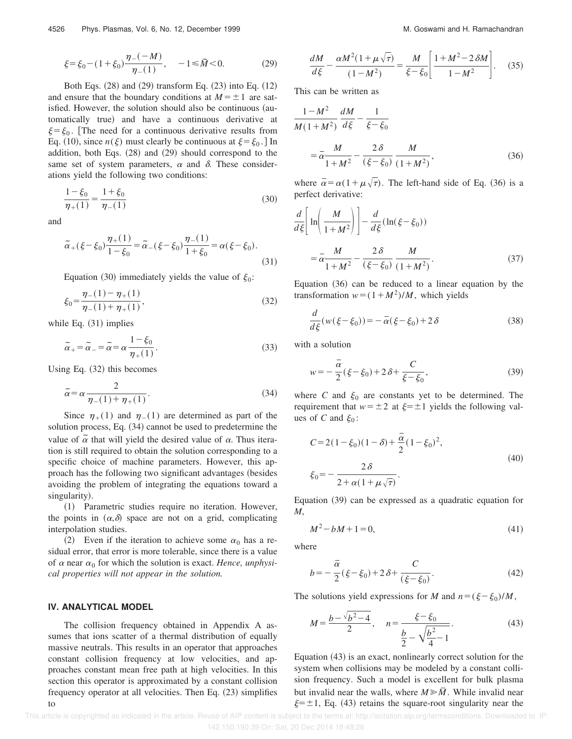$$
\xi = \xi_0 - (1 + \xi_0) \frac{\eta_{-}(-M)}{\eta_{-}(1)}, \quad -1 \le \tilde{M} < 0. \tag{29}
$$

Both Eqs.  $(28)$  and  $(29)$  transform Eq.  $(23)$  into Eq.  $(12)$ and ensure that the boundary conditions at  $M = \pm 1$  are satisfied. However, the solution should also be continuous (automatically true) and have a continuous derivative at  $\xi = \xi_0$ . [The need for a continuous derivative results from Eq. (10), since  $n(\xi)$  must clearly be continuous at  $\xi = \xi_0$ . In addition, both Eqs.  $(28)$  and  $(29)$  should correspond to the same set of system parameters,  $\alpha$  and  $\delta$ . These considerations yield the following two conditions:

$$
\frac{1 - \xi_0}{\eta_+(1)} = \frac{1 + \xi_0}{\eta_-(1)}\tag{30}
$$

and

$$
\tilde{\alpha}_{+}(\xi - \xi_{0}) \frac{\eta_{+}(1)}{1 - \xi_{0}} = \tilde{\alpha}_{-}(\xi - \xi_{0}) \frac{\eta_{-}(1)}{1 + \xi_{0}} = \alpha(\xi - \xi_{0}).
$$
\n(31)

Equation (30) immediately yields the value of  $\xi_0$ :

$$
\xi_0 = \frac{\eta_{-}(1) - \eta_{+}(1)}{\eta_{-}(1) + \eta_{+}(1)},\tag{32}
$$

while Eq.  $(31)$  implies

$$
\tilde{\alpha}_{+} = \tilde{\alpha}_{-} = \tilde{\alpha} = \alpha \frac{1 - \xi_0}{\eta_{+}(1)}.
$$
\n(33)

Using Eq.  $(32)$  this becomes

$$
\tilde{\alpha} = \alpha \frac{2}{\eta_{-}(1) + \eta_{+}(1)}.
$$
\n(34)

Since  $\eta_+(1)$  and  $\eta_-(1)$  are determined as part of the solution process, Eq.  $(34)$  cannot be used to predetermine the value of  $\alpha$  that will yield the desired value of  $\alpha$ . Thus iteration is still required to obtain the solution corresponding to a specific choice of machine parameters. However, this approach has the following two significant advantages (besides avoiding the problem of integrating the equations toward a singularity).

~1! Parametric studies require no iteration. However, the points in  $(\alpha, \delta)$  space are not on a grid, complicating interpolation studies.

(2) Even if the iteration to achieve some  $\alpha_0$  has a residual error, that error is more tolerable, since there is a value of  $\alpha$  near  $\alpha_0$  for which the solution is exact. *Hence, unphysical properties will not appear in the solution.*

## **IV. ANALYTICAL MODEL**

The collision frequency obtained in Appendix A assumes that ions scatter of a thermal distribution of equally massive neutrals. This results in an operator that approaches constant collision frequency at low velocities, and approaches constant mean free path at high velocities. In this section this operator is approximated by a constant collision frequency operator at all velocities. Then Eq.  $(23)$  simplifies to

$$
\frac{dM}{d\xi} - \frac{\alpha M^2 (1 + \mu \sqrt{\tau})}{(1 - M^2)} = \frac{M}{\xi - \xi_0} \left[ \frac{1 + M^2 - 2 \delta M}{1 - M^2} \right].
$$
 (35)

This can be written as

$$
\frac{1 - M^2}{M(1 + M^2)} \frac{dM}{d\xi} - \frac{1}{\xi - \xi_0}
$$
  
=  $\bar{\alpha} \frac{M}{1 + M^2} - \frac{2\delta}{(\xi - \xi_0)} \frac{M}{(1 + M^2)},$  (36)

where  $\bar{\alpha} = \alpha(1 + \mu\sqrt{\tau})$ . The left-hand side of Eq. (36) is a perfect derivative:

$$
\frac{d}{d\xi} \left[ \ln \left( \frac{M}{1+M^2} \right) \right] - \frac{d}{d\xi} (\ln(\xi - \xi_0))
$$

$$
= \bar{\alpha} \frac{M}{1+M^2} - \frac{2\delta}{(\xi - \xi_0)} \frac{M}{(1+M^2)}.
$$
(37)

Equation  $(36)$  can be reduced to a linear equation by the transformation  $w = (1 + M^2)/M$ , which yields

$$
\frac{d}{d\xi}(w(\xi-\xi_0)) = -\overline{\alpha}(\xi-\xi_0) + 2\delta
$$
\n(38)

with a solution

$$
w = -\frac{\bar{\alpha}}{2}(\xi - \xi_0) + 2\,\delta + \frac{C}{\xi - \xi_0},\tag{39}
$$

where *C* and  $\xi_0$  are constants yet to be determined. The requirement that  $w = \pm 2$  at  $\xi = \pm 1$  yields the following values of *C* and  $\xi_0$ :

$$
C = 2(1 - \xi_0)(1 - \delta) + \frac{\bar{\alpha}}{2}(1 - \xi_0)^2,
$$
  

$$
\xi_0 = -\frac{2\delta}{2 + \alpha(1 + \mu\sqrt{\tau})}.
$$
 (40)

Equation  $(39)$  can be expressed as a quadratic equation for *M*,

$$
M^2 - bM + 1 = 0,\t(41)
$$

where

$$
b = -\frac{\bar{\alpha}}{2}(\xi - \xi_0) + 2\delta + \frac{C}{(\xi - \xi_0)}.
$$
 (42)

The solutions yield expressions for *M* and  $n = (\xi - \xi_0)/M$ ,

$$
M = \frac{b - \sqrt{b^2 - 4}}{2}, \quad n = \frac{\xi - \xi_0}{\frac{b}{2} - \sqrt{\frac{b^2}{4} - 1}}.
$$
 (43)

Equation  $(43)$  is an exact, nonlinearly correct solution for the system when collisions may be modeled by a constant collision frequency. Such a model is excellent for bulk plasma but invalid near the walls, where  $M \ge \overline{M}$ . While invalid near  $\xi=\pm 1$ , Eq. (43) retains the square-root singularity near the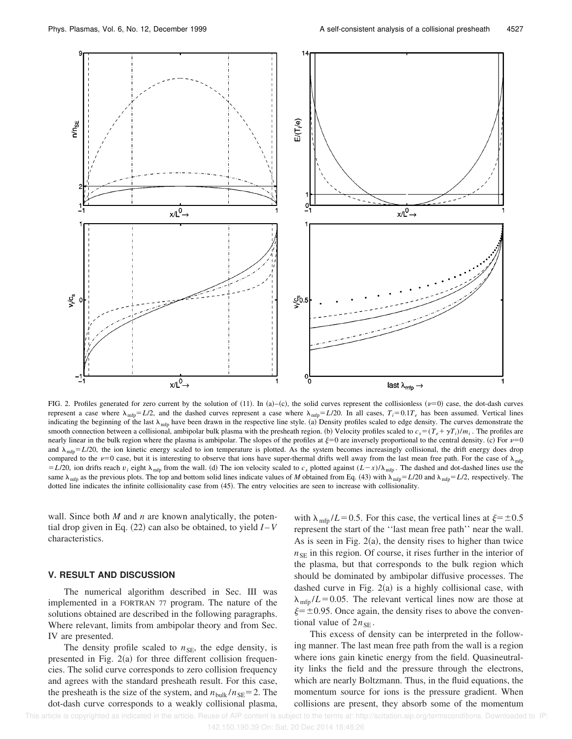

FIG. 2. Profiles generated for zero current by the solution of  $(11)$ . In  $(a)$ – $(c)$ , the solid curves represent the collisionless  $(v=0)$  case, the dot-dash curves represent a case where  $\lambda_{\text{mfp}} = L/2$ , and the dashed curves represent a case where  $\lambda_{\text{mfp}} = L/20$ . In all cases,  $T_i = 0.1T_e$  has been assumed. Vertical lines indicating the beginning of the last  $\lambda_{\text{mfp}}$  have been drawn in the respective line style. (a) Density profiles scaled to edge density. The curves demonstrate the smooth connection between a collisional, ambipolar bulk plasma with the presheath region. (b) Velocity profiles scaled to  $c_s = (T_e + \gamma T_i)/m_i$ . The profiles are nearly linear in the bulk region where the plasma is ambipolar. The slopes of the profiles at  $\xi=0$  are inversely proportional to the central density. (c) For  $\nu=0$ and  $\lambda_{\text{mfp}} = L/20$ , the ion kinetic energy scaled to ion temperature is plotted. As the system becomes increasingly collisional, the drift energy does drop compared to the  $\nu=0$  case, but it is interesting to observe that ions have super-thermal drifts well away from the last mean free path. For the case of  $\lambda_{\text{mfp}}$  $= L/20$ , ion drifts reach  $v_i$  eight  $\lambda_{\text{mfp}}$  from the wall. (d) The ion velocity scaled to  $c_s$  plotted against  $(L-x)/\lambda_{\text{mfp}}$ . The dashed and dot-dashed lines use the same  $\lambda_{\text{mfp}}$  as the previous plots. The top and bottom solid lines indicate values of *M* obtained from Eq. (43) with  $\lambda_{\text{mfp}} = L/20$  and  $\lambda_{\text{mfp}} = L/2$ , respectively. The dotted line indicates the infinite collisionality case from (45). The entry velocities are seen to increase with collisionality.

wall. Since both *M* and *n* are known analytically, the potential drop given in Eq.  $(22)$  can also be obtained, to yield  $I-V$ characteristics.

# **V. RESULT AND DISCUSSION**

The numerical algorithm described in Sec. III was implemented in a FORTRAN 77 program. The nature of the solutions obtained are described in the following paragraphs. Where relevant, limits from ambipolar theory and from Sec. IV are presented.

The density profile scaled to  $n_{SE}$ , the edge density, is presented in Fig.  $2(a)$  for three different collision frequencies. The solid curve corresponds to zero collision frequency and agrees with the standard presheath result. For this case, the presheath is the size of the system, and  $n_{\text{bulk}}/n_{\text{SE}}=2$ . The dot-dash curve corresponds to a weakly collisional plasma, with  $\lambda_{\rm mfp}$  /*L* = 0.5. For this case, the vertical lines at  $\xi$ = ±0.5 represent the start of the ''last mean free path'' near the wall. As is seen in Fig.  $2(a)$ , the density rises to higher than twice  $n_{SE}$  in this region. Of course, it rises further in the interior of the plasma, but that corresponds to the bulk region which should be dominated by ambipolar diffusive processes. The dashed curve in Fig.  $2(a)$  is a highly collisional case, with  $\lambda_{\rm mfp}/L$ =0.05. The relevant vertical lines now are those at  $\xi = \pm 0.95$ . Once again, the density rises to above the conventional value of  $2n_{\text{SE}}$ .

This excess of density can be interpreted in the following manner. The last mean free path from the wall is a region where ions gain kinetic energy from the field. Quasineutrality links the field and the pressure through the electrons, which are nearly Boltzmann. Thus, in the fluid equations, the momentum source for ions is the pressure gradient. When collisions are present, they absorb some of the momentum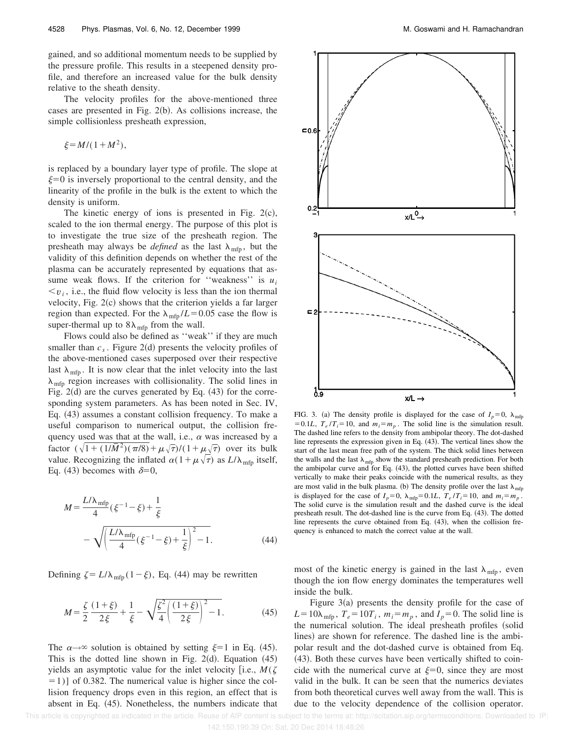gained, and so additional momentum needs to be supplied by the pressure profile. This results in a steepened density profile, and therefore an increased value for the bulk density relative to the sheath density.

The velocity profiles for the above-mentioned three cases are presented in Fig.  $2(b)$ . As collisions increase, the simple collisionless presheath expression,

$$
\xi = M/(1+M^2),
$$

is replaced by a boundary layer type of profile. The slope at  $\xi=0$  is inversely proportional to the central density, and the linearity of the profile in the bulk is the extent to which the density is uniform.

The kinetic energy of ions is presented in Fig.  $2(c)$ , scaled to the ion thermal energy. The purpose of this plot is to investigate the true size of the presheath region. The presheath may always be *defined* as the last  $\lambda_{\text{mfp}}$ , but the validity of this definition depends on whether the rest of the plasma can be accurately represented by equations that assume weak flows. If the criterion for "weakness" is  $u_i$  $\langle v_i, i.e.,$  the fluid flow velocity is less than the ion thermal velocity, Fig.  $2(c)$  shows that the criterion yields a far larger region than expected. For the  $\lambda_{\text{mfp}}/L$ =0.05 case the flow is super-thermal up to  $8\lambda_{\text{mfp}}$  from the wall.

Flows could also be defined as ''weak'' if they are much smaller than  $c_s$ . Figure 2(d) presents the velocity profiles of the above-mentioned cases superposed over their respective last  $\lambda_{\text{mfp}}$ . It is now clear that the inlet velocity into the last  $\lambda_{\text{mfp}}$  region increases with collisionality. The solid lines in Fig.  $2(d)$  are the curves generated by Eq.  $(43)$  for the corresponding system parameters. As has been noted in Sec. IV, Eq. (43) assumes a constant collision frequency. To make a useful comparison to numerical output, the collision frequency used was that at the wall, i.e.,  $\alpha$  was increased by a factor  $(\sqrt{1 + (1/\bar{M}^2)(\pi/8)} + \mu \sqrt{\tau})/(1 + \mu \sqrt{\tau})$  over its bulk value. Recognizing the inflated  $\alpha(1+\mu\sqrt{\tau})$  as  $L/\lambda_{\text{mfp}}$  itself, Eq. (43) becomes with  $\delta=0$ ,

$$
M = \frac{L/\lambda_{\text{mfp}}}{4} (\xi^{-1} - \xi) + \frac{1}{\xi}
$$
  
-  $\sqrt{\left(\frac{L/\lambda_{\text{mfp}}}{4} (\xi^{-1} - \xi) + \frac{1}{\xi}\right)^2 - 1}.$  (44)

Defining  $\zeta = L/\lambda_{\text{mfp}} (1-\xi)$ , Eq. (44) may be rewritten

$$
M = \frac{\zeta}{2} \frac{(1+\xi)}{2\xi} + \frac{1}{\xi} - \sqrt{\frac{\zeta^2}{4} \left(\frac{(1+\xi)}{2\xi}\right)^2 - 1}.
$$
 (45)

The  $\alpha \rightarrow \infty$  solution is obtained by setting  $\xi=1$  in Eq. (45). This is the dotted line shown in Fig. 2 $(d)$ . Equation  $(45)$ yields an asymptotic value for the inlet velocity [i.e.,  $M(\zeta)$  $[51]$  of 0.382. The numerical value is higher since the collision frequency drops even in this region, an effect that is absent in Eq.  $(45)$ . Nonetheless, the numbers indicate that



FIG. 3. (a) The density profile is displayed for the case of  $I_p=0$ ,  $\lambda_{\text{mfp}}$ = 0.1*L*,  $T_e/T_i$ = 10, and  $m_i = m_p$ . The solid line is the simulation result. The dashed line refers to the density from ambipolar theory. The dot-dashed line represents the expression given in Eq.  $(43)$ . The vertical lines show the start of the last mean free path of the system. The thick solid lines between the walls and the last  $\lambda_{\text{mfp}}$  show the standard presheath prediction. For both the ambipolar curve and for Eq.  $(43)$ , the plotted curves have been shifted vertically to make their peaks coincide with the numerical results, as they are most valid in the bulk plasma. (b) The density profile over the last  $\lambda_{\text{mfp}}$ is displayed for the case of  $I_p = 0$ ,  $\lambda_{\text{mfp}} = 0.1L$ ,  $T_e / T_i = 10$ , and  $m_i = m_p$ . The solid curve is the simulation result and the dashed curve is the ideal presheath result. The dot-dashed line is the curve from Eq.  $(43)$ . The dotted line represents the curve obtained from Eq.  $(43)$ , when the collision frequency is enhanced to match the correct value at the wall.

most of the kinetic energy is gained in the last  $\lambda_{\text{mfp}}$ , even though the ion flow energy dominates the temperatures well inside the bulk.

Figure  $3(a)$  presents the density profile for the case of  $L = 10\lambda_{\text{mfp}}$ ,  $T_e = 10T_i$ ,  $m_i = m_p$ , and  $I_p = 0$ . The solid line is the numerical solution. The ideal presheath profiles (solid lines) are shown for reference. The dashed line is the ambipolar result and the dot-dashed curve is obtained from Eq.  $(43)$ . Both these curves have been vertically shifted to coincide with the numerical curve at  $\xi=0$ , since they are most valid in the bulk. It can be seen that the numerics deviates from both theoretical curves well away from the wall. This is due to the velocity dependence of the collision operator.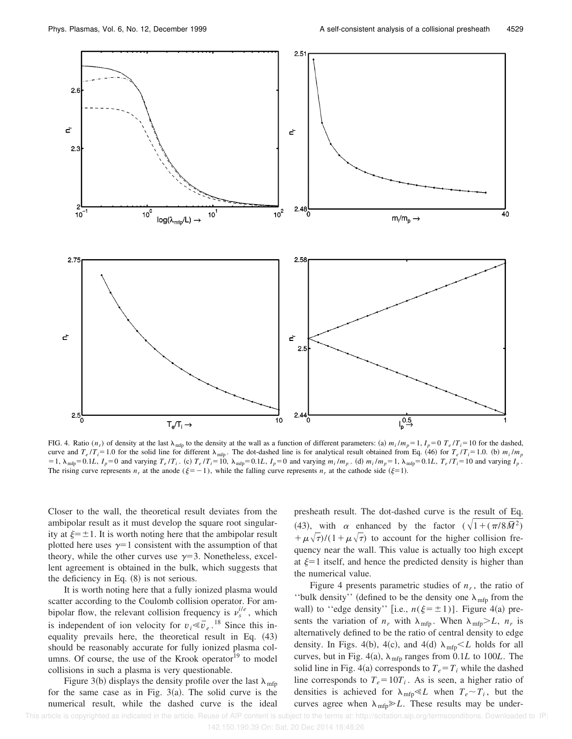

FIG. 4. Ratio  $(n_r)$  of density at the last  $\lambda_{\text{mfp}}$  to the density at the wall as a function of different parameters: (a)  $m_i/m_p = 1$ ,  $I_p = 0$   $T_e/T_i = 10$  for the dashed, curve and  $T_e/T_i = 1.0$  for the solid line for different  $\lambda_{\text{mfp}}$ . The dot-dashed line is for analytical result obtained from Eq. (46) for  $T_e/T_i = 1.0$ . (b)  $m_i/m_p$ = 1,  $\lambda_{\text{mfp}}$  = 0.1L,  $I_p$  = 0 and varying  $T_e/T_i$ . (c)  $T_e/T_i$  = 10,  $\lambda_{\text{mfp}}$  = 0.1L,  $I_p$  = 0 and varying  $m_i/m_p$ . (d)  $m_i/m_p$  = 1,  $\lambda_{\text{mfp}}$  = 0.1L,  $T_e/T_i$  = 10 and varying  $I_p$ . The rising curve represents  $n_r$  at the anode ( $\xi = -1$ ), while the falling curve represents  $n_r$  at the cathode side ( $\xi = 1$ ).

Closer to the wall, the theoretical result deviates from the ambipolar result as it must develop the square root singularity at  $\xi=\pm 1$ . It is worth noting here that the ambipolar result plotted here uses  $\gamma=1$  consistent with the assumption of that theory, while the other curves use  $\gamma=3$ . Nonetheless, excellent agreement is obtained in the bulk, which suggests that the deficiency in Eq.  $(8)$  is not serious.

It is worth noting here that a fully ionized plasma would scatter according to the Coulomb collision operator. For ambipolar flow, the relevant collision frequency is  $v_s^{i/e}$ , which is independent of ion velocity for  $v_i \le v_e$ .<sup>18</sup> Since this inequality prevails here, the theoretical result in Eq.  $(43)$ should be reasonably accurate for fully ionized plasma columns. Of course, the use of the Krook operator $19$  to model collisions in such a plasma is very questionable.

Figure 3(b) displays the density profile over the last  $\lambda_{\text{mfp}}$ for the same case as in Fig.  $3(a)$ . The solid curve is the numerical result, while the dashed curve is the ideal presheath result. The dot-dashed curve is the result of Eq. (43), with  $\alpha$  enhanced by the factor  $(\sqrt{1 + (\pi/8\bar{M}^2)})$  $+\mu\sqrt{\tau}$ /(1+ $\mu\sqrt{\tau}$ ) to account for the higher collision frequency near the wall. This value is actually too high except at  $\xi=1$  itself, and hence the predicted density is higher than the numerical value.

Figure 4 presents parametric studies of  $n_r$ , the ratio of "bulk density" (defined to be the density one  $\lambda_{\text{mfp}}$  from the wall) to "edge density" [i.e.,  $n(\xi=\pm 1)$ ]. Figure 4(a) presents the variation of  $n_r$  with  $\lambda_{\text{mfp}}$ . When  $\lambda_{\text{mfp}} > L$ ,  $n_r$  is alternatively defined to be the ratio of central density to edge density. In Figs. 4(b), 4(c), and 4(d)  $\lambda_{\text{mfp}} < L$  holds for all curves, but in Fig. 4(a),  $\lambda_{\text{mfp}}$  ranges from 0.1*L* to 100*L*. The solid line in Fig. 4(a) corresponds to  $T_e = T_i$  while the dashed line corresponds to  $T_e = 10T_i$ . As is seen, a higher ratio of densities is achieved for  $\lambda_{\text{mfp}} \ll L$  when  $T_e \sim T_i$ , but the curves agree when  $\lambda_{\text{mfp}} \geq L$ . These results may be under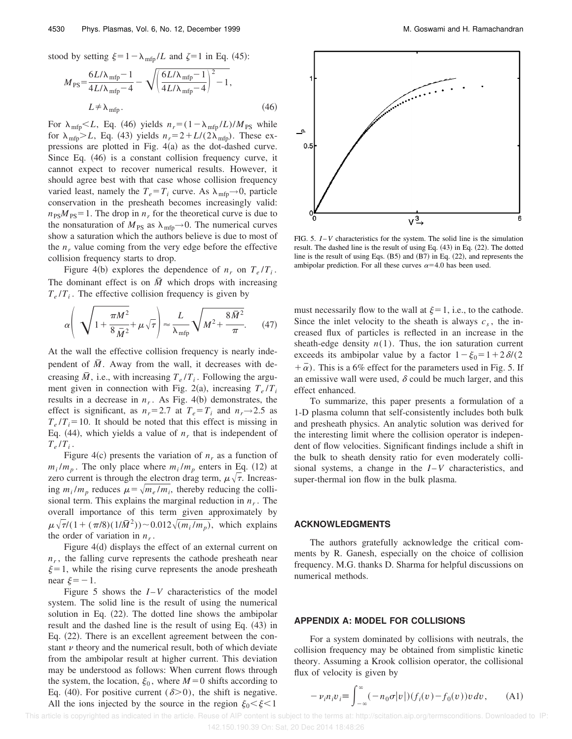stood by setting  $\xi=1-\lambda_{\text{mfp}}/L$  and  $\zeta=1$  in Eq. (45):

$$
M_{\rm PS} = \frac{6L/\lambda_{\rm mfp} - 1}{4L/\lambda_{\rm mfp} - 4} - \sqrt{\left(\frac{6L/\lambda_{\rm mfp} - 1}{4L/\lambda_{\rm mfp} - 4}\right)^2 - 1},
$$
  

$$
L \neq \lambda_{\rm mfp}.
$$
 (46)

For  $\lambda_{\text{mfp}} < L$ , Eq. (46) yields  $n_r = (1 - \lambda_{\text{mfp}} / L) / M_{\text{PS}}$  while for  $\lambda_{\text{mfp}}$  $>L$ , Eq. (43) yields  $n_r = 2 + L/(2\lambda_{\text{mfp}})$ . These expressions are plotted in Fig.  $4(a)$  as the dot-dashed curve. Since Eq.  $(46)$  is a constant collision frequency curve, it cannot expect to recover numerical results. However, it should agree best with that case whose collision frequency varied least, namely the  $T_e = T_i$  curve. As  $\lambda_{\text{mfp}} \rightarrow 0$ , particle conservation in the presheath becomes increasingly valid:  $n_{PS}M_{PS} = 1$ . The drop in  $n_r$  for the theoretical curve is due to the nonsaturation of  $M_{PS}$  as  $\lambda_{\text{mfp}} \rightarrow 0$ . The numerical curves show a saturation which the authors believe is due to most of the  $n_r$  value coming from the very edge before the effective collision frequency starts to drop.

Figure 4(b) explores the dependence of  $n_r$  on  $T_e/T_i$ . The dominant effect is on  $\overline{M}$  which drops with increasing  $T_e/T_i$ . The effective collision frequency is given by

$$
\alpha \left( \sqrt{1 + \frac{\pi M^2}{8 \,\overline{M}^2}} + \mu \sqrt{\tau} \right) \approx \frac{L}{\lambda_{\rm mfp}} \sqrt{M^2 + \frac{8 \,\overline{M}^2}{\pi}}. \tag{47}
$$

At the wall the effective collision frequency is nearly independent of  $\overline{M}$ . Away from the wall, it decreases with decreasing  $\bar{M}$ , i.e., with increasing  $T_e/T_i$ . Following the argument given in connection with Fig. 2(a), increasing  $T_e/T_i$ results in a decrease in  $n_r$ . As Fig. 4(b) demonstrates, the effect is significant, as  $n_r=2.7$  at  $T_e=T_i$  and  $n_r\rightarrow 2.5$  as  $T_e/T_i = 10$ . It should be noted that this effect is missing in Eq. (44), which yields a value of  $n<sub>r</sub>$  that is independent of  $T_e/T_i$ .

Figure 4(c) presents the variation of  $n_r$  as a function of  $m_i/m_p$ . The only place where  $m_i/m_p$  enters in Eq. (12) at zero current is through the electron drag term,  $\mu\sqrt{\tau}$ . Increasing  $m_i/m_p$  reduces  $\mu = \sqrt{m_e/m_i}$ , thereby reducing the collisional term. This explains the marginal reduction in *n<sup>r</sup>* . The overall importance of this term given approximately by  $\mu \sqrt{\tau}/(1 + (\pi/8)(1/\bar{M}^2))$  ~ 0.012 $\sqrt{(m_i/m_p)}$ , which explains the order of variation in  $n_r$ .

Figure  $4(d)$  displays the effect of an external current on  $n_r$ , the falling curve represents the cathode presheath near  $\xi=1$ , while the rising curve represents the anode presheath near  $\xi=-1$ .

Figure 5 shows the  $I - V$  characteristics of the model system. The solid line is the result of using the numerical solution in Eq.  $(22)$ . The dotted line shows the ambipolar result and the dashed line is the result of using Eq.  $(43)$  in Eq.  $(22)$ . There is an excellent agreement between the constant  $\nu$  theory and the numerical result, both of which deviate from the ambipolar result at higher current. This deviation may be understood as follows: When current flows through the system, the location,  $\xi_0$ , where  $M=0$  shifts according to Eq. (40). For positive current ( $\delta$ >0), the shift is negative. All the ions injected by the source in the region  $\xi_0 < \xi < 1$ 



FIG. 5. *I* –*V* characteristics for the system. The solid line is the simulation result. The dashed line is the result of using Eq.  $(43)$  in Eq.  $(22)$ . The dotted line is the result of using Eqs.  $(B5)$  and  $(B7)$  in Eq.  $(22)$ , and represents the ambipolar prediction. For all these curves  $\alpha$ =4.0 has been used.

must necessarily flow to the wall at  $\xi=1$ , i.e., to the cathode. Since the inlet velocity to the sheath is always  $c_s$ , the increased flux of particles is reflected in an increase in the sheath-edge density  $n(1)$ . Thus, the ion saturation current exceeds its ambipolar value by a factor  $1-\xi_0=1+2\delta/(2$  $+\bar{\alpha}$ ). This is a 6% effect for the parameters used in Fig. 5. If an emissive wall were used,  $\delta$  could be much larger, and this effect enhanced.

To summarize, this paper presents a formulation of a 1-D plasma column that self-consistently includes both bulk and presheath physics. An analytic solution was derived for the interesting limit where the collision operator is independent of flow velocities. Significant findings include a shift in the bulk to sheath density ratio for even moderately collisional systems, a change in the  $I-V$  characteristics, and super-thermal ion flow in the bulk plasma.

#### **ACKNOWLEDGMENTS**

The authors gratefully acknowledge the critical comments by R. Ganesh, especially on the choice of collision frequency. M.G. thanks D. Sharma for helpful discussions on numerical methods.

## **APPENDIX A: MODEL FOR COLLISIONS**

For a system dominated by collisions with neutrals, the collision frequency may be obtained from simplistic kinetic theory. Assuming a Krook collision operator, the collisional flux of velocity is given by

$$
-\nu_i n_i v_i \equiv \int_{-\infty}^{\infty} (-n_0 \sigma |v|) (f_i(v) - f_0(v)) v dv, \quad (A1)
$$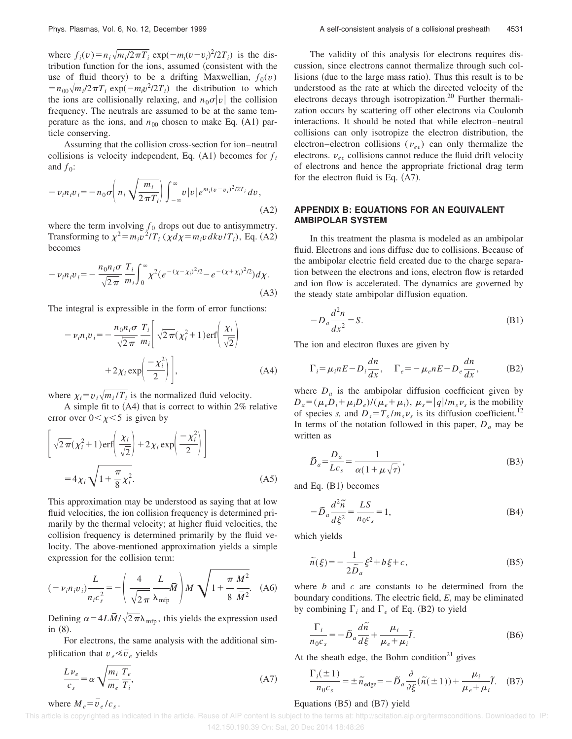where  $f_i(v) = n_i \sqrt{m_i/2\pi T_i}$  exp( $-m_i(v-v_i)^2/2T_i$ ) is the distribution function for the ions, assumed (consistent with the use of fluid theory) to be a drifting Maxwellian,  $f_0(v)$  $= n_{00} \sqrt{m_i/2\pi T_i}$  exp( $-m_i v^2/2T_i$ ) the distribution to which the ions are collisionally relaxing, and  $n_0\sigma|v|$  the collision frequency. The neutrals are assumed to be at the same temperature as the ions, and  $n_{00}$  chosen to make Eq.  $(A1)$  particle conserving.

Assuming that the collision cross-section for ion–neutral collisions is velocity independent, Eq.  $(A1)$  becomes for  $f_i$ and  $f_0$ :

$$
- \nu_i n_i v_i = -n_0 \sigma \left( n_i \sqrt{\frac{m_i}{2 \pi T_i}} \right) \int_{-\infty}^{\infty} v |v| e^{m_i (v - v_i)^2 / 2T_i} dv,
$$
\n(A2)

where the term involving  $f_0$  drops out due to antisymmetry. Transforming to  $\chi^2 = m_i v^2 / T_i$  ( $\chi d\chi = m_i v d k v / T_i$ ), Eq. (A2) becomes

$$
- \nu_i n_i v_i = -\frac{n_0 n_i \sigma}{\sqrt{2\pi}} \frac{T_i}{m_i} \int_0^\infty \chi^2 (e^{-(\chi - \chi_i)^2/2} - e^{-(\chi + \chi_i)^2/2}) d\chi.
$$
\n(A3)

The integral is expressible in the form of error functions:

$$
- \nu_i n_i v_i = -\frac{n_0 n_i \sigma}{\sqrt{2\pi}} \frac{T_i}{m_i} \left[ \sqrt{2\pi} (\chi_i^2 + 1) \text{erf} \left( \frac{\chi_i}{\sqrt{2}} \right) + 2\chi_i \exp \left( \frac{-\chi_i^2}{2} \right) \right], \tag{A4}
$$

where  $\chi_i = v_i \sqrt{m_i / T_i}$  is the normalized fluid velocity.

A simple fit to  $(A4)$  that is correct to within 2% relative error over  $0<\chi<5$  is given by

$$
\left[\sqrt{2\pi}(\chi_i^2 + 1) \operatorname{erf}\left(\frac{\chi_i}{\sqrt{2}}\right) + 2\chi_i \exp\left(\frac{-\chi_i^2}{2}\right)\right]
$$
  
=  $4\chi_i \sqrt{1 + \frac{\pi}{8}\chi_i^2}$ . (A5)

This approximation may be understood as saying that at low fluid velocities, the ion collision frequency is determined primarily by the thermal velocity; at higher fluid velocities, the collision frequency is determined primarily by the fluid velocity. The above-mentioned approximation yields a simple expression for the collision term:

$$
(-\nu_i n_i \nu_i) \frac{L}{n_i c_s^2} = -\left(\frac{4}{\sqrt{2\pi}} \frac{L}{\lambda_{\text{mfp}}} \overline{M}\right) M \sqrt{1 + \frac{\pi}{8} \frac{M^2}{\overline{M}^2}}.
$$
 (A6)

Defining  $\alpha = 4L\overline{M}/\sqrt{2\pi}\lambda_{\text{mfp}}$ , this yields the expression used in  $(8)$ .

For electrons, the same analysis with the additional simplification that  $v_e \ll v_e$  yields

$$
\frac{L\nu_e}{c_s} = \alpha \sqrt{\frac{m_i}{m_e} \frac{T_e}{T_i}},
$$
\nwhere  $M_e = \overline{v}_e / c_s$ .

\n(A7)

The validity of this analysis for electrons requires discussion, since electrons cannot thermalize through such collisions (due to the large mass ratio). Thus this result is to be understood as the rate at which the directed velocity of the electrons decays through isotropization.<sup>20</sup> Further thermalization occurs by scattering off other electrons via Coulomb interactions. It should be noted that while electron–neutral collisions can only isotropize the electron distribution, the electron–electron collisions ( $v_{ee}$ ) can only thermalize the electrons.  $v_{ee}$  collisions cannot reduce the fluid drift velocity of electrons and hence the appropriate frictional drag term for the electron fluid is Eq.  $(A7)$ .

# **APPENDIX B: EQUATIONS FOR AN EQUIVALENT AMBIPOLAR SYSTEM**

In this treatment the plasma is modeled as an ambipolar fluid. Electrons and ions diffuse due to collisions. Because of the ambipolar electric field created due to the charge separation between the electrons and ions, electron flow is retarded and ion flow is accelerated. The dynamics are governed by the steady state ambipolar diffusion equation.

$$
-D_a \frac{d^2 n}{dx^2} = S.
$$
 (B1)

The ion and electron fluxes are given by

$$
\Gamma_i = \mu_i n E - D_i \frac{dn}{dx}, \quad \Gamma_e = -\mu_e n E - D_e \frac{dn}{dx}, \quad (B2)
$$

where  $D_a$  is the ambipolar diffusion coefficient given by  $D_a = (\mu_e \vec{D}_i + \mu_i \vec{D}_e)/(\mu_e + \mu_i), \ \mu_s = |q|/m_s \nu_s$  is the mobility of species *s*, and  $D_s = T_s / m_s v_s$  is its diffusion coefficient.<sup>12</sup> In terms of the notation followed in this paper,  $D_a$  may be written as

$$
\tilde{D}_a = \frac{D_a}{Lc_s} = \frac{1}{\alpha(1 + \mu\sqrt{\tau})},\tag{B3}
$$

and Eq.  $(B1)$  becomes

$$
-\widetilde{D}_a \frac{d^2 \widetilde{n}}{d \xi^2} = \frac{LS}{n_0 c_s} = 1,
$$
\n(B4)

which yields

$$
\widetilde{n}(\xi) = -\frac{1}{2\widetilde{D}_a}\xi^2 + b\xi + c,\tag{B5}
$$

where *b* and *c* are constants to be determined from the boundary conditions. The electric field, *E*, may be eliminated by combining  $\Gamma_i$  and  $\Gamma_e$  of Eq. (B2) to yield

$$
\frac{\Gamma_i}{n_0 c_s} = -\tilde{D}_a \frac{d\tilde{n}}{d\xi} + \frac{\mu_i}{\mu_e + \mu_i} \tilde{I}.
$$
 (B6)

At the sheath edge, the Bohm condition<sup>21</sup> gives

$$
\frac{\Gamma_i(\pm 1)}{n_0 c_s} = \pm \tilde{n}_{\text{edge}} = -\tilde{D}_a \frac{\partial}{\partial \xi} (\tilde{n}(\pm 1)) + \frac{\mu_i}{\mu_e + \mu_i} \tilde{I}. \quad (B7)
$$

### Equations  $(B5)$  and  $(B7)$  yield